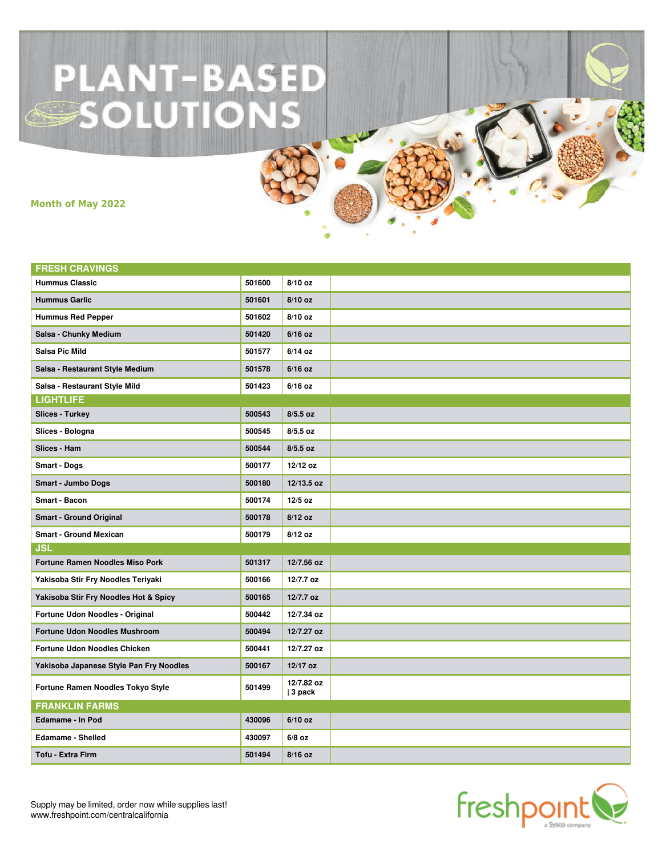## **PLANT-BASED<br>-SOLUTIONS**

**Month of May 2022**

| <b>FRESH CRAVINGS</b>                   |        |                         |  |
|-----------------------------------------|--------|-------------------------|--|
| <b>Hummus Classic</b>                   | 501600 | 8/10 oz                 |  |
| <b>Hummus Garlic</b>                    | 501601 | 8/10 oz                 |  |
| <b>Hummus Red Pepper</b>                | 501602 | 8/10 oz                 |  |
| Salsa - Chunky Medium                   | 501420 | $6/16$ oz               |  |
| <b>Salsa Pic Mild</b>                   | 501577 | $6/14$ oz               |  |
| Salsa - Restaurant Style Medium         | 501578 | $6/16$ oz               |  |
| Salsa - Restaurant Style Mild           | 501423 | $6/16$ oz               |  |
| <b>LIGHTLIFE</b>                        |        |                         |  |
| <b>Slices - Turkey</b>                  | 500543 | $8/5.5$ oz              |  |
| Slices - Bologna                        | 500545 | $8/5.5$ oz              |  |
| Slices - Ham                            | 500544 | $8/5.5$ oz              |  |
| <b>Smart - Dogs</b>                     | 500177 | 12/12 oz                |  |
| <b>Smart - Jumbo Dogs</b>               | 500180 | 12/13.5 oz              |  |
| <b>Smart - Bacon</b>                    | 500174 | $12/5$ oz               |  |
| <b>Smart - Ground Original</b>          | 500178 | $8/12$ oz               |  |
| <b>Smart - Ground Mexican</b>           | 500179 | 8/12 oz                 |  |
| <b>JSL</b>                              |        |                         |  |
| <b>Fortune Ramen Noodles Miso Pork</b>  | 501317 | 12/7.56 oz              |  |
| Yakisoba Stir Fry Noodles Teriyaki      | 500166 | 12/7.7 oz               |  |
| Yakisoba Stir Fry Noodles Hot & Spicy   | 500165 | 12/7.7 oz               |  |
| Fortune Udon Noodles - Original         | 500442 | 12/7.34 oz              |  |
| <b>Fortune Udon Noodles Mushroom</b>    | 500494 | 12/7.27 oz              |  |
| Fortune Udon Noodles Chicken            | 500441 | 12/7.27 oz              |  |
| Yakisoba Japanese Style Pan Fry Noodles | 500167 | 12/17 oz                |  |
| Fortune Ramen Noodles Tokyo Style       | 501499 | 12/7.82 oz<br>$ 3$ pack |  |
| <b>FRANKLIN FARMS</b>                   |        |                         |  |
| <b>Edamame - In Pod</b>                 | 430096 | $6/10$ oz               |  |
| <b>Edamame - Shelled</b>                | 430097 | $6/8$ oz                |  |
| <b>Tofu - Extra Firm</b>                | 501494 | $8/16$ oz               |  |



Supply may be limited, order now while supplies last! www.freshpoint.com/centralcalifornia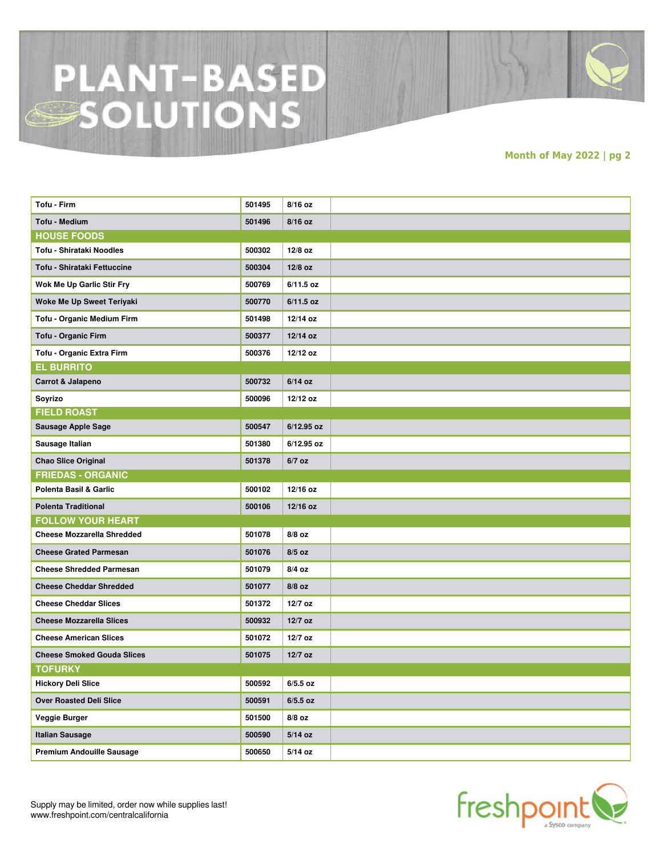## **PLANT-BASED**<br>SOLUTIONS

**Month of May 2022 | pg 2**

| Tofu - Firm                       | 501495 | $8/16$ oz   |  |
|-----------------------------------|--------|-------------|--|
| <b>Tofu - Medium</b>              | 501496 | $8/16$ oz   |  |
| <b>HOUSE FOODS</b>                |        |             |  |
| Tofu - Shirataki Noodles          | 500302 | 12/8 oz     |  |
| Tofu - Shirataki Fettuccine       | 500304 | $12/8$ oz   |  |
| Wok Me Up Garlic Stir Fry         | 500769 | $6/11.5$ oz |  |
| Woke Me Up Sweet Teriyaki         | 500770 | $6/11.5$ oz |  |
| Tofu - Organic Medium Firm        | 501498 | 12/14 oz    |  |
| <b>Tofu - Organic Firm</b>        | 500377 | 12/14 oz    |  |
| Tofu - Organic Extra Firm         | 500376 | 12/12 oz    |  |
| <b>EL BURRITO</b>                 |        |             |  |
| Carrot & Jalapeno                 | 500732 | $6/14$ oz   |  |
| Soyrizo                           | 500096 | 12/12 oz    |  |
| <b>FIELD ROAST</b>                |        |             |  |
| Sausage Apple Sage                | 500547 | 6/12.95 oz  |  |
| Sausage Italian                   | 501380 | 6/12.95 oz  |  |
| <b>Chao Slice Original</b>        | 501378 | $6/7$ oz    |  |
| <b>FRIEDAS - ORGANIC</b>          |        |             |  |
| Polenta Basil & Garlic            | 500102 | 12/16 oz    |  |
| <b>Polenta Traditional</b>        | 500106 | 12/16 oz    |  |
| <b>FOLLOW YOUR HEART</b>          |        |             |  |
| <b>Cheese Mozzarella Shredded</b> | 501078 | $8/8$ oz    |  |
| <b>Cheese Grated Parmesan</b>     | 501076 | $8/5$ oz    |  |
| <b>Cheese Shredded Parmesan</b>   | 501079 | 8/4 oz      |  |
| <b>Cheese Cheddar Shredded</b>    | 501077 | $8/8$ oz    |  |
| <b>Cheese Cheddar Slices</b>      | 501372 | 12/7 oz     |  |
| <b>Cheese Mozzarella Slices</b>   | 500932 | $12/7$ oz   |  |
| <b>Cheese American Slices</b>     | 501072 | 12/7 oz     |  |
| <b>Cheese Smoked Gouda Slices</b> | 501075 | $12/7$ oz   |  |
| <b>TOFURKY</b>                    |        |             |  |
| <b>Hickory Deli Slice</b>         | 500592 | $6/5.5$ oz  |  |
| <b>Over Roasted Deli Slice</b>    | 500591 | $6/5.5$ oz  |  |
| Veggie Burger                     | 501500 | $8/8$ oz    |  |
| <b>Italian Sausage</b>            | 500590 | $5/14$ oz   |  |
| <b>Premium Andouille Sausage</b>  | 500650 | 5/14 oz     |  |